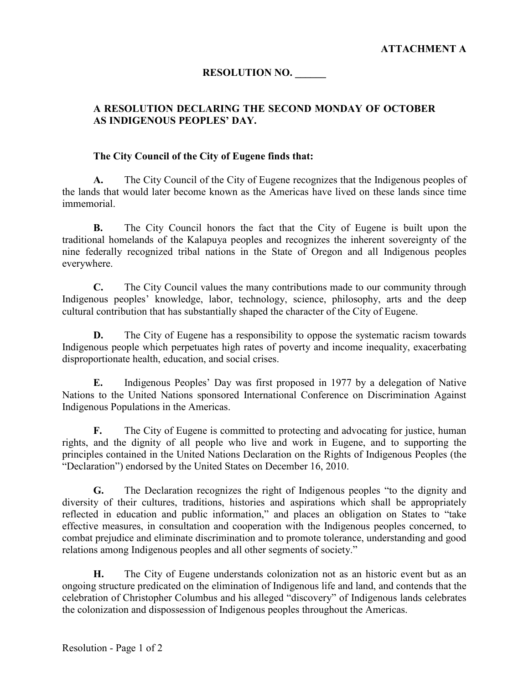# **RESOLUTION NO. \_\_\_\_\_\_**

## **A RESOLUTION DECLARING THE SECOND MONDAY OF OCTOBER AS INDIGENOUS PEOPLES' DAY.**

#### **The City Council of the City of Eugene finds that:**

**A.** The City Council of the City of Eugene recognizes that the Indigenous peoples of the lands that would later become known as the Americas have lived on these lands since time immemorial.

**B.** The City Council honors the fact that the City of Eugene is built upon the traditional homelands of the Kalapuya peoples and recognizes the inherent sovereignty of the nine federally recognized tribal nations in the State of Oregon and all Indigenous peoples everywhere.

**C.** The City Council values the many contributions made to our community through Indigenous peoples' knowledge, labor, technology, science, philosophy, arts and the deep cultural contribution that has substantially shaped the character of the City of Eugene.

**D.** The City of Eugene has a responsibility to oppose the systematic racism towards Indigenous people which perpetuates high rates of poverty and income inequality, exacerbating disproportionate health, education, and social crises.

**E.** Indigenous Peoples' Day was first proposed in 1977 by a delegation of Native Nations to the United Nations sponsored International Conference on Discrimination Against Indigenous Populations in the Americas.

**F.** The City of Eugene is committed to protecting and advocating for justice, human rights, and the dignity of all people who live and work in Eugene, and to supporting the principles contained in the United Nations Declaration on the Rights of Indigenous Peoples (the "Declaration") endorsed by the United States on December 16, 2010.

**G.** The Declaration recognizes the right of Indigenous peoples "to the dignity and diversity of their cultures, traditions, histories and aspirations which shall be appropriately reflected in education and public information," and places an obligation on States to "take effective measures, in consultation and cooperation with the Indigenous peoples concerned, to combat prejudice and eliminate discrimination and to promote tolerance, understanding and good relations among Indigenous peoples and all other segments of society."

**H.** The City of Eugene understands colonization not as an historic event but as an ongoing structure predicated on the elimination of Indigenous life and land, and contends that the celebration of Christopher Columbus and his alleged "discovery" of Indigenous lands celebrates the colonization and dispossession of Indigenous peoples throughout the Americas.